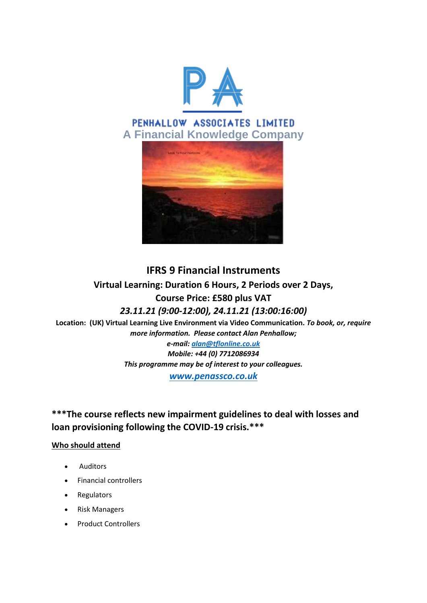

# PENHALLOW ASSOCIATES LIMITED **A Financial Knowledge Company**



# **IFRS 9 Financial Instruments Virtual Learning: Duration 6 Hours, 2 Periods over 2 Days, Course Price: £580 plus VAT** *23.11.21 (9:00-12:00), 24.11.21 (13:00:16:00)*

**Location: (UK) Virtual Learning Live Environment via Video Communication.** *To book, or, require more information. Please contact Alan Penhallow;*

> *e-mail: [alan@tflonline.co.uk](mailto:alan@tflonline.co.uk) Mobile: +44 (0) 7712086934 This programme may be of interest to your colleagues.*

*[www.penassco.co.uk](http://www.penassco.co.uk/)*

**\*\*\*The course reflects new impairment guidelines to deal with losses and loan provisioning following the COVID-19 crisis.\*\*\***

## **Who should attend**

- Auditors
- Financial controllers
- Regulators
- Risk Managers
- Product Controllers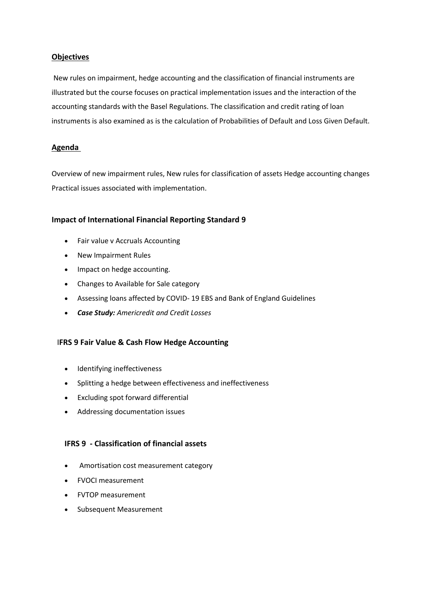## **Objectives**

New rules on impairment, hedge accounting and the classification of financial instruments are illustrated but the course focuses on practical implementation issues and the interaction of the accounting standards with the Basel Regulations. The classification and credit rating of loan instruments is also examined as is the calculation of Probabilities of Default and Loss Given Default.

### **Agenda**

Overview of new impairment rules, New rules for classification of assets Hedge accounting changes Practical issues associated with implementation.

### **Impact of International Financial Reporting Standard 9**

- Fair value v Accruals Accounting
- New Impairment Rules
- Impact on hedge accounting.
- Changes to Available for Sale category
- Assessing loans affected by COVID- 19 EBS and Bank of England Guidelines
- *Case Study: Americredit and Credit Losses*

#### I**FRS 9 Fair Value & Cash Flow Hedge Accounting**

- Identifying ineffectiveness
- Splitting a hedge between effectiveness and ineffectiveness
- Excluding spot forward differential
- Addressing documentation issues

### **IFRS 9 - Classification of financial assets**

- Amortisation cost measurement category
- FVOCI measurement
- FVTOP measurement
- Subsequent Measurement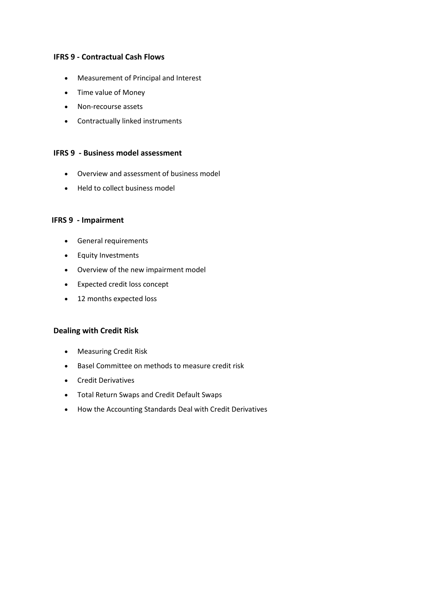## **IFRS 9 - Contractual Cash Flows**

- Measurement of Principal and Interest
- Time value of Money
- Non-recourse assets
- Contractually linked instruments

#### **IFRS 9 - Business model assessment**

- Overview and assessment of business model
- Held to collect business model

#### **IFRS 9 - Impairment**

- General requirements
- **•** Equity Investments
- Overview of the new impairment model
- Expected credit loss concept
- 12 months expected loss

## **Dealing with Credit Risk**

- Measuring Credit Risk
- Basel Committee on methods to measure credit risk
- Credit Derivatives
- Total Return Swaps and Credit Default Swaps
- How the Accounting Standards Deal with Credit Derivatives